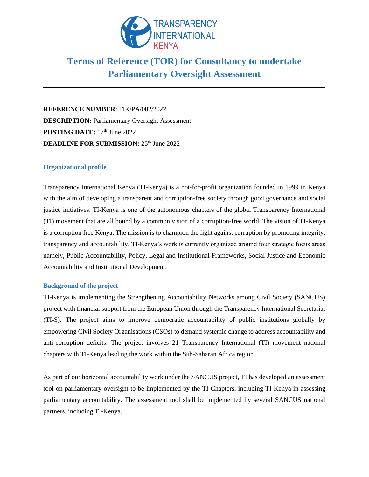

# **Terms of Reference (TOR) for Consultancy to undertake Parliamentary Oversight Assessment**

**REFERENCE NUMBER**: TIK/PA/002/2022 **DESCRIPTION:** Parliamentary Oversight Assessment POSTING DATE:  $17<sup>th</sup>$  June 2022 **DEADLINE FOR SUBMISSION:** 25<sup>th</sup> June 2022

# **Organizational profile**

Transparency International Kenya (TI-Kenya) is a not-for-profit organization founded in 1999 in Kenya with the aim of developing a transparent and corruption-free society through good governance and social justice initiatives. TI-Kenya is one of the autonomous chapters of the global Transparency International (TI) movement that are all bound by a common vision of a corruption-free world. The vision of TI-Kenya is a corruption free Kenya. The mission is to champion the fight against corruption by promoting integrity, transparency and accountability. TI-Kenya's work is currently organized around four strategic focus areas namely, Public Accountability, Policy, Legal and Institutional Frameworks, Social Justice and Economic Accountability and Institutional Development.

#### **Background of the project**

TI-Kenya is implementing the Strengthening Accountability Networks among Civil Society (SANCUS) project with financial support from the European Union through the Transparency International Secretariat (TI-S). The project aims to improve democratic accountability of public institutions globally by empowering Civil Society Organisations (CSOs) to demand systemic change to address accountability and anti-corruption deficits. The project involves 21 Transparency International (TI) movement national chapters with TI-Kenya leading the work within the Sub-Saharan Africa region.

As part of our horizontal accountability work under the SANCUS project, TI has developed an assessment tool on parliamentary oversight to be implemented by the TI-Chapters, including TI-Kenya in assessing parliamentary accountability. The assessment tool shall be implemented by several SANCUS national partners, including TI-Kenya.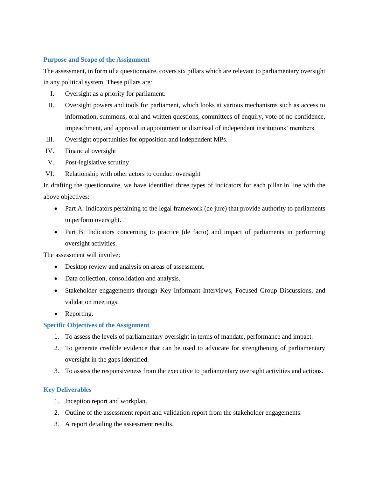# **Purpose and Scope of the Assignment**

The assessment, in form of a questionnaire, covers six pillars which are relevant to parliamentary oversight in any political system. These pillars are:

- I. Oversight as a priority for parliament.
- II. Oversight powers and tools for parliament, which looks at various mechanisms such as access to information, summons, oral and written questions, committees of enquiry, vote of no confidence, impeachment, and approval in appointment or dismissal of independent institutions' members.
- III. Oversight opportunities for opposition and independent MPs.
- IV. Financial oversight
- V. Post-legislative scrutiny
- VI. Relationship with other actors to conduct oversight

In drafting the questionnaire, we have identified three types of indicators for each pillar in line with the above objectives:

- Part A: Indicators pertaining to the legal framework (de jure) that provide authority to parliaments to perform oversight.
- Part B: Indicators concerning to practice (de facto) and impact of parliaments in performing oversight activities.

The assessment will involve:

- Desktop review and analysis on areas of assessment.
- Data collection, consolidation and analysis.
- Stakeholder engagements through Key Informant Interviews, Focused Group Discussions, and validation meetings.
- Reporting.

# **Specific Objectives of the Assignment**

- 1. To assess the levels of parliamentary oversight in terms of mandate, performance and impact.
- 2. To generate credible evidence that can be used to advocate for strengthening of parliamentary oversight in the gaps identified.
- 3. To assess the responsiveness from the executive to parliamentary oversight activities and actions.

# **Key Deliverables**

- 1. Inception report and workplan.
- 2. Outline of the assessment report and validation report from the stakeholder engagements.
- 3. A report detailing the assessment results.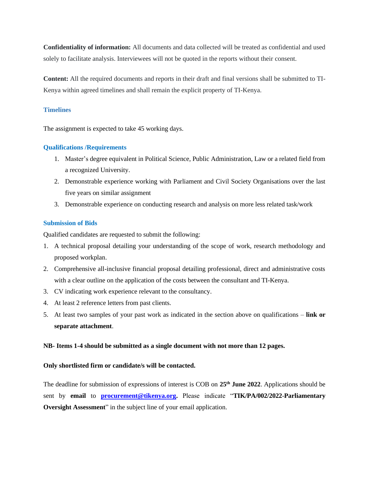**Confidentiality of information:** All documents and data collected will be treated as confidential and used solely to facilitate analysis. Interviewees will not be quoted in the reports without their consent.

**Content:** All the required documents and reports in their draft and final versions shall be submitted to TI-Kenya within agreed timelines and shall remain the explicit property of TI-Kenya.

## **Timelines**

The assignment is expected to take 45 working days.

## **Qualifications /Requirements**

- 1. Master's degree equivalent in Political Science, Public Administration, Law or a related field from a recognized University.
- 2. Demonstrable experience working with Parliament and Civil Society Organisations over the last five years on similar assignment
- 3. Demonstrable experience on conducting research and analysis on more less related task/work

## **Submission of Bids**

Qualified candidates are requested to submit the following:

- 1. A technical proposal detailing your understanding of the scope of work, research methodology and proposed workplan.
- 2. Comprehensive all-inclusive financial proposal detailing professional, direct and administrative costs with a clear outline on the application of the costs between the consultant and TI-Kenya.
- 3. CV indicating work experience relevant to the consultancy.
- 4. At least 2 reference letters from past clients.
- 5. At least two samples of your past work as indicated in the section above on qualifications **link or separate attachment**.

#### **NB- Items 1-4 should be submitted as a single document with not more than 12 pages.**

#### **Only shortlisted firm or candidate/s will be contacted.**

The deadline for submission of expressions of interest is COB on **25 th June 2022**. Applications should be sent by **email** to **[procurement@tikenya.org.](mailto:procurement@tikenya.org)** Please indicate "**TIK/PA/002/2022**-**Parliamentary Oversight Assessment**" in the subject line of your email application.